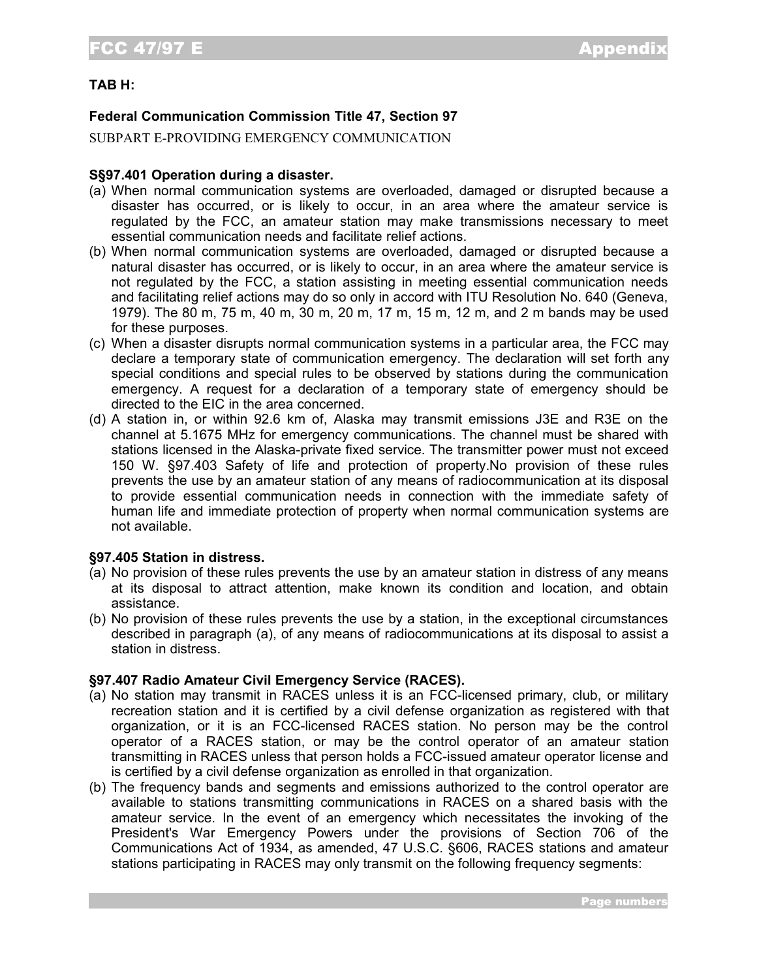## **TAB H:**

## **Federal Communication Commission Title 47, Section 97**

SUBPART E-PROVIDING EMERGENCY COMMUNICATION

### **S§97.401 Operation during a disaster.**

- (a) When normal communication systems are overloaded, damaged or disrupted because a disaster has occurred, or is likely to occur, in an area where the amateur service is regulated by the FCC, an amateur station may make transmissions necessary to meet essential communication needs and facilitate relief actions.
- (b) When normal communication systems are overloaded, damaged or disrupted because a natural disaster has occurred, or is likely to occur, in an area where the amateur service is not regulated by the FCC, a station assisting in meeting essential communication needs and facilitating relief actions may do so only in accord with ITU Resolution No. 640 (Geneva, 1979). The 80 m, 75 m, 40 m, 30 m, 20 m, 17 m, 15 m, 12 m, and 2 m bands may be used for these purposes.
- (c) When a disaster disrupts normal communication systems in a particular area, the FCC may declare a temporary state of communication emergency. The declaration will set forth any special conditions and special rules to be observed by stations during the communication emergency. A request for a declaration of a temporary state of emergency should be directed to the EIC in the area concerned.
- (d) A station in, or within 92.6 km of, Alaska may transmit emissions J3E and R3E on the channel at 5.1675 MHz for emergency communications. The channel must be shared with stations licensed in the Alaska-private fixed service. The transmitter power must not exceed 150 W. §97.403 Safety of life and protection of property.No provision of these rules prevents the use by an amateur station of any means of radiocommunication at its disposal to provide essential communication needs in connection with the immediate safety of human life and immediate protection of property when normal communication systems are not available.

### **§97.405 Station in distress.**

- (a) No provision of these rules prevents the use by an amateur station in distress of any means at its disposal to attract attention, make known its condition and location, and obtain assistance.
- (b) No provision of these rules prevents the use by a station, in the exceptional circumstances described in paragraph (a), of any means of radiocommunications at its disposal to assist a station in distress.

#### **§97.407 Radio Amateur Civil Emergency Service (RACES).**

- (a) No station may transmit in RACES unless it is an FCC-licensed primary, club, or military recreation station and it is certified by a civil defense organization as registered with that organization, or it is an FCC-licensed RACES station. No person may be the control operator of a RACES station, or may be the control operator of an amateur station transmitting in RACES unless that person holds a FCC-issued amateur operator license and is certified by a civil defense organization as enrolled in that organization.
- (b) The frequency bands and segments and emissions authorized to the control operator are available to stations transmitting communications in RACES on a shared basis with the amateur service. In the event of an emergency which necessitates the invoking of the President's War Emergency Powers under the provisions of Section 706 of the Communications Act of 1934, as amended, 47 U.S.C. §606, RACES stations and amateur stations participating in RACES may only transmit on the following frequency segments: